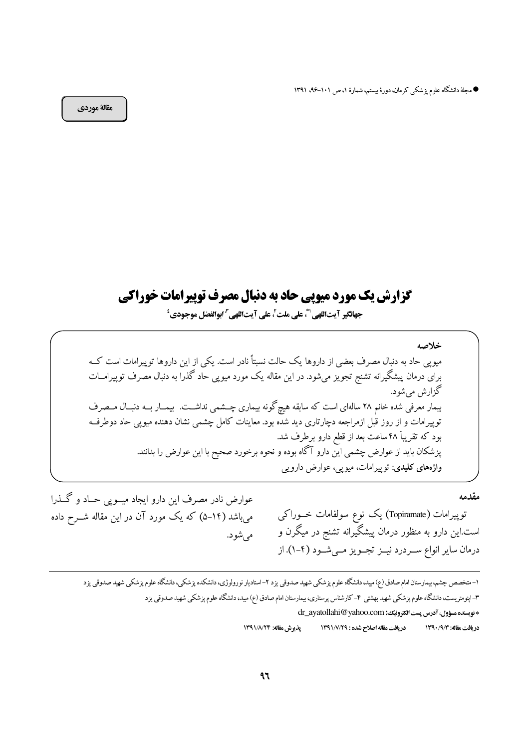● مجلهٔ دانشگاه علوم پزشکی کرمان، دورهٔ بیستم، شمارهٔ ۱، ص ۱۰۱–۹۶، ۱۳۹۱

مقالة موردي

# گزارش یک مورد میویی حاد به دنبال مصرف توپیرامات خوراکی

جهانگير آيتاللهي'"، على ملت'، على آيتاللهي " ابوالفضل موجودي'

خلاصه میوپی حاد به دنبال مصرف بعضی از داروها یک حالت نسبتاً نادر است. یکی از این داروها توپیرامات است کــه برای درمان پیشگیرانه تشنج تجویز میشود. در این مقاله یک مورد میوپی حاد گذرا به دنبال مصرف توپیرامــات گزارش مے شود. بیمار معرفی شده خانم ۲۸ سالهای است که سابقه هیچگونه بیماری چــشمی نداشــت. بیمــار بــه دنبــال مــصرف توییرامات و از روز قبل ازمراجعه دچارتاری دید شده بود. معاینات کامل چشمی نشان دهنده میویی حاد دوطرف بود که تقریباً ۴۸ ساعت بعد از قطع دارو برطرف شد. یزشکان باید از عوارض چشمی این دارو آگاه بوده و نحوه برخورد صحیح با این عوارض را بدانند. واژههای کلیدی: توپیرامات، میویی، عوارض دارویی

مقدمه

عوارض نادر مصرف این دارو ایجاد میــویی حــاد و گــذرا میباشد (۱۴–۵) که یک مورد آن در این مقاله شــرح داده مے شو د.

توپیرامات (Topiramate) یک نوع سولفامات خــوراکی است.این دارو به منظور درمان پیشگیرانه تشنج در میگرن و درمان سایر انواع سـردرد نیــز تجــویز مــیشــود (۴-۱). از

۱–متخصص چشم، بیمارستان امام صادق (ع) مید، دانشگاه علوم پزشکی شهید صدوقی یزد ۲–استادیار نورولوژی، دانشکده پزشکی، دانشگاه علوم پزشکی شهید صدوقی یزد ۳–ایتومتریست، دانشگاه علوم یزشکی شهید بهشتی ۴– کارشناس پرستاری، بیمارستان امام صادق (ع) میں، دانشگاه علوم یزشکی شهید صدوقی یزد \* نویسنده مسؤول، آدرس پست الکترونیک؛ dr\_ayatollahi@yahoo.com

يذيرش مقاله: ١٣٩١/٨/٢۴ دريافت مقاله اصلاح شده : ١٣٩١/٧/٢٩ در بافت مقاله: ١٣٩٠/٩/٣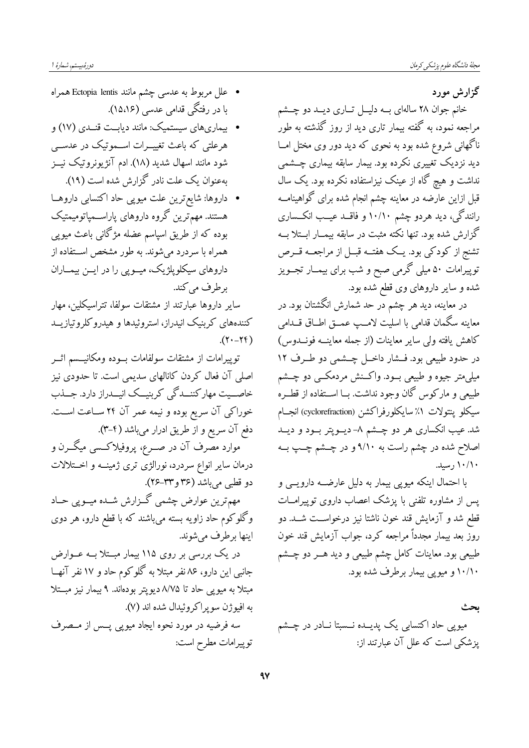دورهُ»بيستم، شمارهٔ ا

گزارش مورد

خانم جوان ۲۸ سالهای بــه دلیــل تــاری دیــد دو چــشم مراجعه نمود، به گفته بیمار تاری دید از روز گذشته به طور ناگهانی شروع شده بود به نحوی که دید دور وی مختل امــا دید نزدیک تغییری نکرده بود. بیمار سابقه بیماری چــشمې نداشت و هیچ گاه از عینک نیزاستفاده نکرده بود. یک سال قبل ازاین عارضه در معاینه چشم انجام شده برای گواهینامــه رانندگی، دید هردو چشم ۱۰/۱۰ و فاقــد عیــب انکــساری گزارش شده بود. تنها نکته مثبت در سابقه بیمــار ابــتلا بــه تشنج از کودکی بود. یــک هفتــه قبــل از مراجعــه قـــرص توپیرامات ۵۰ میلی گرمی صبح و شب برای بیمــار تجــویز شده و سایر داروهای وی قطع شده بود.

در معاینه، دید هر چشم در حد شمارش انگشتان بود. در معاينه سگمان قدامي با اسليت لامــب عمــق اطــاق قـــدامي كاهش يافته ولي ساير معاينات (از جمله معاينــه فونــدوس) در حدود طبیعی بود. فــشار داخــل چــشمی دو طــرف ۱۲ میلی،متر جیوه و طبیعی بسود. واکسنش مردمکسی دو چسشم طبیعی و مارکوس گان وجود نداشت. بــا اســتفاده از قطــره سيكلو ينتولات ١٪ سايكلورفراكشن (cyclorefraction) انجــام شد. عیب انکساری هر دو چــشم ۸– دیــوپتر بــود و دیــد اصلاح شده در چشم راست به ۹/۱۰ و در چــشم چــپ بــه ۱۰/۱۰ رسید.

با احتمال اینکه میوپی بیمار به دلیل عارضــه دارویــی و یس از مشاوره تلفنی با پزشک اعصاب داروی توییرامــات قطع شد و آزمایش قند خون ناشتا نیز درخواسـت شــد. دو روز بعد بیمار مجدداً مراجعه کرد، جواب آزمایش قند خون طبیعی بود. معاینات کامل چشم طبیعی و دید هــر دو چــشم ۱۰/۱۰ و میویی بیمار برطرف شده بود.

ىحث میوپی حاد اکتسابی یک پدیــده نــسبتا نــادر در چــشم یز شکی است که علل آن عبارتند از:

- علل مربوط به عدسی چشم مانند Ectopia lentis همراه با در رفتگی قدامی عدسی (۱۵،۱۶).
- بیماریهای سیستمیک: مانند دیابـت قنــدی (۱۷) و هرعلتی که باعث تغییــرات اســموتیک در عدســی شود مانند اسهال شدید (۱۸). ادم آنژیونروتیک نیــز بهعنوان یک علت نادر گزارش شده است (۱۹).

• داروها: شایع ترین علت میوپی حاد اکتسابی داروهـا هستند. مهمّترین گروه داروهای پاراســمپاتومیمتیک بوده که از طریق اسپاسم عضله مژگانی باعث میوپی همراه با سردرد میشوند. به طور مشخص استفاده از داروهای سیکلوپلژیک، میــویی را در ایــن بیمــاران برطرف مي كند.

سایر داروها عبارتند از مشتقات سولفا، تتراسیکلین، مهار کنندههای کربنیک انیدراز، استروئیدها و هیدروکلروتیازیــد  $(11 - 17)$ 

توپیرامات از مشتقات سولفامات بــوده ومکانیـــسم اثــر اصلی آن فعال کردن کانالهای سدیمی است. تا حدودی نیز خاصــیت مهارکننــدگی کربنیــک انیــدراز دارد. جــذب خوراکی آن سریع بوده و نیمه عمر آن ۲۴ سـاعت اسـت. دفع آن سریع و از طریق ادرار میباشد (۴–۳).

موارد مصرف آن در صــرع، پروفیلاکــسی میگــرن و درمان سایر انواع سردرد، نورالژی تری ژمینــه و اخــتلالات دو قطبي مي باشد (۳۶ و۲۳–۲۶).

مهمترین عوارض چشمی گـزارش شــده میــویی حــاد وگلوکوم حاد زاویه بسته میباشند که با قطع دارو، هر دوی اينها برطرف مي شوند.

در یک بررسی بر روی ۱۱۵ بیمار مبــتلا بــه عــوارض جانبی این دارو، ۸۶ نفر مبتلا به گلوکوم حاد و ۱۷ نفر آنهــا مبتلا به میویی حاد تا ۸/۷۵ دیویتر بودهاند. ۹ بیمار نیز مبــتلا به افيو ژن سو ير اکر وئيدال شده اند (٧). سه فرضیه در مورد نحوه ایجاد میویی پــس از مــصرف توپيرامات مطرح است: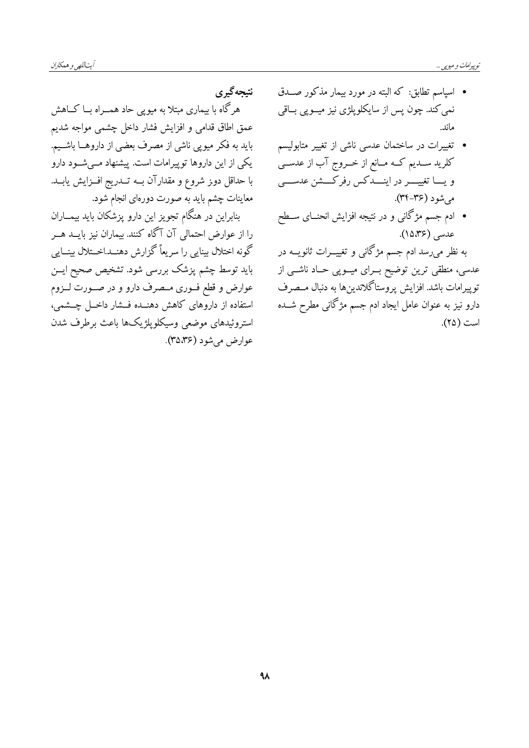نتىحەگىرى هرگاه با بیماری مبتلا به میویی حاد همــراه بــا کــاهش عمق اطاق قدامی و افزایش فشار داخل چشمی مواجه شدیم باید به فکر میویی ناشی از مصرف بعضی از داروهــا باشــیم. یکی از این داروها توپیرامات است. پیشنهاد مــیشــود دارو با حداقل دوز شروع و مقدارآن بــه تـــدريج افــزايش يابــد. معاینات چشم باید به صورت دورمای انجام شود.

بنابراین در هنگام تجویز این دارو پزشکان باید بیمــاران را از عوارض احتمالی آن آگاه کنند. بیماران نیز بایــد هــر گونه اختلال بینایی را سریعاً گزارش دهنــد.اخــتلال بینـــایی باید توسط چشم پزشک بررسی شود. تشخ*یص صح*یح ایــن عوارض و قطع فــوری مــصرف دارو و در صــورت لــزوم استفاده از داروهای کاهش دهنــده فــشار داخــل چــشمی، استروئيدهاى موضعى وسيكلويلژيكها باعث برطرف شدن عوارض مي شود (۳۵،۳۶).

- اسپاسم تطابق: که البته در مورد بیمار مذکور صـدق نمی کند. چون پس از سایکلوپلژی نیز میــوپی بــاقی ماند.
- تغییرات در ساختمان عدسی ناشی از تغییر متابولیسم کلرید ســدیم کــه مــانع از خــروج آب از عدســی و يـــا تغييــــر در اينــــدكس رفركــــشن عدســــى می شو د (۳۶–۳۴).
- ادم جسم مژگانی و در نتیجه افزایش انحنــای ســطح عدسی (۱۵،۳۶).

به نظر میرسد ادم جسم مژگانی و تغییـــرات ثانویـــه در عدسی، منطقی ترین توضیح بــرای میــوپی حــاد ناشــی از توپيرامات باشد. افزايش پروستاگلاندينها به دنبال مــصرف دارو نیز به عنوان عامل ایجاد ادم جسم مژگانی مطرح شــده است (٢۵).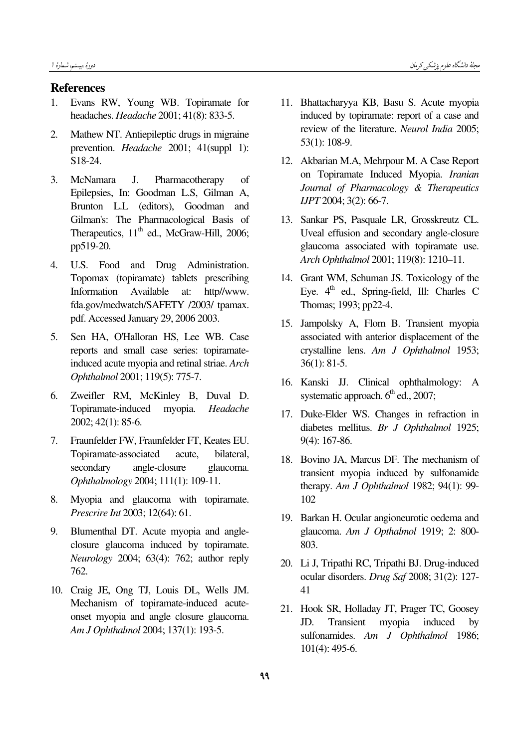# References

- 1. Evans RW, Young WB. Topiramate for headaches. Headache 2001; 41(8): 833-5.
- 2. Mathew NT. Antiepileptic drugs in migraine prevention. Headache 2001; 41(suppl 1): S18-24.
- 3. McNamara J. Pharmacotherapy of Epilepsies, In: Goodman L.S, Gilman A, Brunton L.L (editors), Goodman and Gilman's: The Pharmacological Basis of Therapeutics,  $11<sup>th</sup>$  ed., McGraw-Hill, 2006; pp519-20.
- 4. U.S. Food and Drug Administration. Topomax (topiramate) tablets prescribing Information Available at: http//www. fda.gov/medwatch/SAFETY /2003/ tpamax. pdf. Accessed January 29, 2006 2003.
- 5. Sen HA, O'Halloran HS, Lee WB. Case reports and small case series: topiramateinduced acute myopia and retinal striae. Arch Ophthalmol 2001; 119(5): 775-7.
- 6. Zweifler RM, McKinley B, Duval D. Topiramate-induced myopia. Headache 2002; 42(1): 85-6.
- 7. Fraunfelder FW, Fraunfelder FT, Keates EU. Topiramate-associated acute, bilateral, secondary angle-closure glaucoma. Ophthalmology 2004; 111(1): 109-11.
- 8. Myopia and glaucoma with topiramate. Prescrire Int 2003; 12(64): 61.
- 9. Blumenthal DT. Acute myopia and angleclosure glaucoma induced by topiramate. Neurology 2004; 63(4): 762; author reply 762.
- 10. Craig JE, Ong TJ, Louis DL, Wells JM. Mechanism of topiramate-induced acuteonset myopia and angle closure glaucoma. Am J Ophthalmol 2004; 137(1): 193-5.
- 11. Bhattacharyya KB, Basu S. Acute myopia induced by topiramate: report of a case and review of the literature. Neurol India 2005; 53(1): 108-9.
- 12. Akbarian M.A, Mehrpour M. A Case Report on Topiramate Induced Myopia. Iranian Journal of Pharmacology & Therapeutics IJPT 2004; 3(2): 66-7.
- 13. Sankar PS, Pasquale LR, Grosskreutz CL. Uveal effusion and secondary angle-closure glaucoma associated with topiramate use. Arch Ophthalmol 2001; 119(8): 1210–11.
- 14. Grant WM, Schuman JS. Toxicology of the Eye.  $4^{\text{th}}$  ed., Spring-field, Ill: Charles C Thomas; 1993; pp22-4.
- 15. Jampolsky A, Flom B. Transient myopia associated with anterior displacement of the crystalline lens. Am J Ophthalmol 1953; 36(1): 81-5.
- 16. Kanski JJ. Clinical ophthalmology: A systematic approach.  $6<sup>th</sup>$  ed., 2007;
- 17. Duke-Elder WS. Changes in refraction in diabetes mellitus. Br J Ophthalmol 1925; 9(4): 167-86.
- 18. Bovino JA, Marcus DF. The mechanism of transient myopia induced by sulfonamide therapy. Am J Ophthalmol 1982; 94(1): 99- 102
- 19. Barkan H. Ocular angioneurotic oedema and glaucoma. Am J Opthalmol 1919; 2: 800- 803.
- 20. Li J, Tripathi RC, Tripathi BJ. Drug-induced ocular disorders. Drug Saf 2008; 31(2): 127- 41
- 21. Hook SR, Holladay JT, Prager TC, Goosey JD. Transient myopia induced by sulfonamides. Am J Ophthalmol 1986; 101(4): 495-6.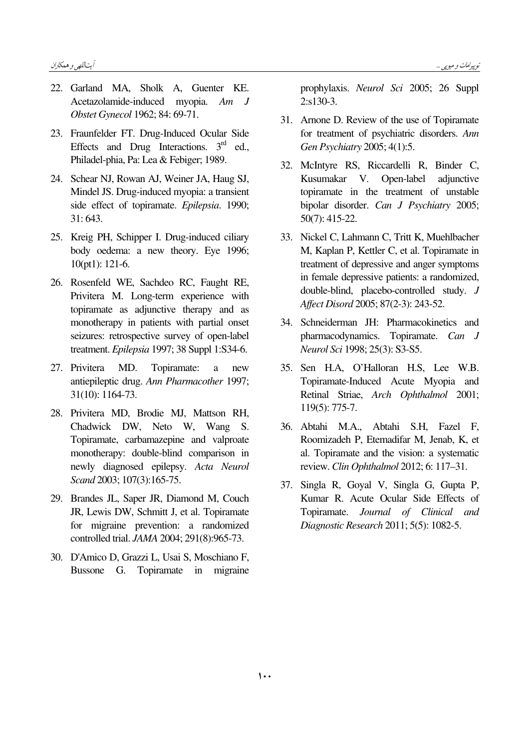- 22. Garland MA, Sholk A, Guenter KE, Acetazolamide-induced myopia. Am J Obstet Gynecol 1962; 84: 69-71.
- 23. Fraunfelder FT. Drug-Induced Ocular Side Effects and Drug Interactions.  $3<sup>rd</sup>$  ed. Philadel-phia, Pa: Lea & Febiger; 1989.
- 24. Schear NJ, Rowan AJ, Weiner JA, Haug SJ, Mindel JS. Drug-induced myopia: a transient side effect of topiramate. Epilepsia. 1990;  $31:643.$
- 25. Kreig PH, Schipper I. Drug-induced ciliary body oedema: a new theory. Eye 1996;  $10(pt1): 121-6.$
- 26. Rosenfeld WE, Sachdeo RC, Faught RE, Privitera M. Long-term experience with topiramate as adjunctive therapy and as monotherapy in patients with partial onset seizures: retrospective survey of open-label treatment. Epilepsia 1997; 38 Suppl 1:S34-6.
- 27. Privitera MD. Topiramate: a new antiepileptic drug. Ann Pharmacother 1997; 31(10): 1164-73.
- 28. Privitera MD, Brodie MJ, Mattson RH, Chadwick DW, Neto W, Wang S. Topiramate, carbamazepine and valproate monotherapy: double-blind comparison in newly diagnosed epilepsy. Acta Neurol Scand 2003; 107(3):165-75.
- 29. Brandes JL, Saper JR, Diamond M, Couch JR, Lewis DW, Schmitt J, et al. Topiramate for migraine prevention: a randomized controlled trial. JAMA 2004; 291(8):965-73.
- 30. D'Amico D, Grazzi L, Usai S, Moschiano F, Bussone G. Topiramate in migraine

prophylaxis. Neurol Sci 2005; 26 Suppl  $2: s130-3.$ 

- 31. Arnone D. Review of the use of Topiramate for treatment of psychiatric disorders. Ann Gen Psychiatry 2005: 4(1):5.
- 32. McIntyre RS, Riccardelli R, Binder C, Kusumakar  $V_{\cdot}$ Open-label adiunctive topiramate in the treatment of unstable bipolar disorder. Can J Psychiatry 2005;  $50(7)$ : 415-22.
- 33. Nickel C, Lahmann C, Tritt K, Muehlbacher M. Kaplan P. Kettler C. et al. Topiramate in treatment of depressive and anger symptoms in female depressive patients: a randomized, double-blind, placebo-controlled study. J Affect Disord 2005; 87(2-3): 243-52.
- 34. Schneiderman JH: Pharmacokinetics and pharmacodynamics. Topiramate. Can J Neurol Sci 1998; 25(3): S3-S5.
- 35. Sen H.A, O'Halloran H.S, Lee W.B. Topiramate-Induced Acute Myopia and Retinal Striae, Arch Ophthalmol 2001;  $119(5): 775-7.$
- 36. Abtahi M.A., Abtahi S.H, Fazel F, Roomizadeh P, Etemadifar M, Jenab, K, et al. Topiramate and the vision: a systematic review. Clin Ophthalmol 2012; 6: 117-31.
- 37. Singla R, Goyal V, Singla G, Gupta P, Kumar R. Acute Ocular Side Effects of Topiramate. Journal of Clinical and Diagnostic Research 2011; 5(5): 1082-5.